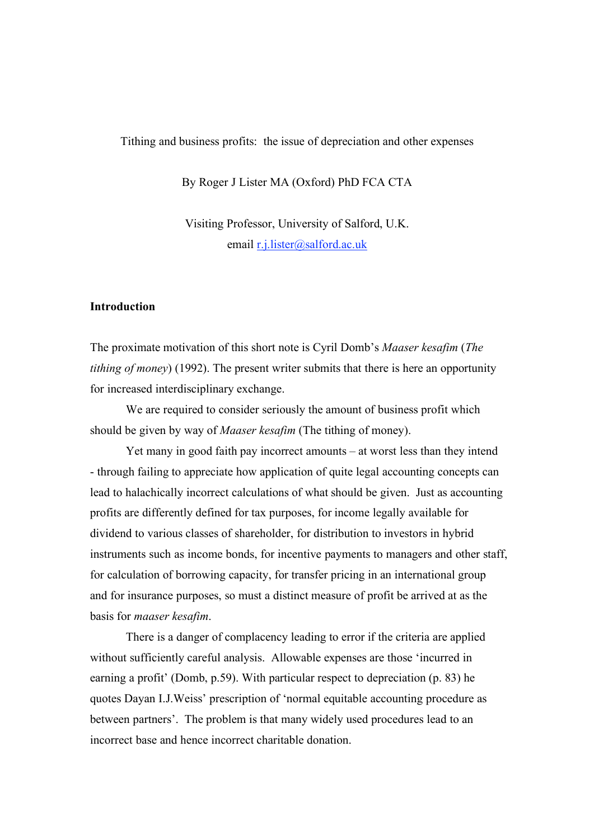Tithing and business profits: the issue of depreciation and other expenses

By Roger J Lister MA (Oxford) PhD FCA CTA

Visiting Professor, University of Salford, U.K. email r.j.lister@salford.ac.uk

### **Introduction**

The proximate motivation of this short note is Cyril Domb's *Maaser kesafim* (*The tithing of money*) (1992). The present writer submits that there is here an opportunity for increased interdisciplinary exchange.

We are required to consider seriously the amount of business profit which should be given by way of *Maaser kesafim* (The tithing of money).

Yet many in good faith pay incorrect amounts – at worst less than they intend - through failing to appreciate how application of quite legal accounting concepts can lead to halachically incorrect calculations of what should be given. Just as accounting profits are differently defined for tax purposes, for income legally available for dividend to various classes of shareholder, for distribution to investors in hybrid instruments such as income bonds, for incentive payments to managers and other staff, for calculation of borrowing capacity, for transfer pricing in an international group and for insurance purposes, so must a distinct measure of profit be arrived at as the basis for *maaser kesafim*.

There is a danger of complacency leading to error if the criteria are applied without sufficiently careful analysis. Allowable expenses are those 'incurred in earning a profit' (Domb, p.59). With particular respect to depreciation (p. 83) he quotes Dayan I.J.Weiss' prescription of 'normal equitable accounting procedure as between partners'. The problem is that many widely used procedures lead to an incorrect base and hence incorrect charitable donation.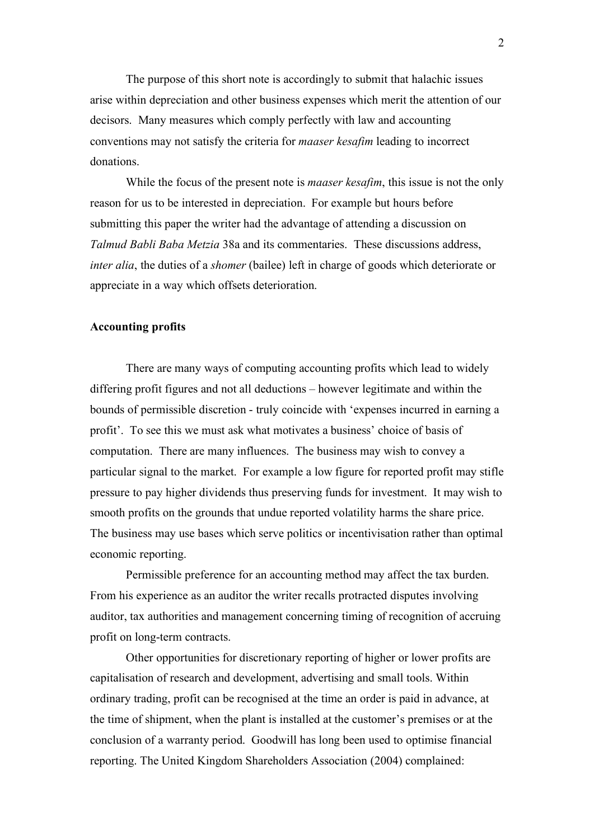The purpose of this short note is accordingly to submit that halachic issues arise within depreciation and other business expenses which merit the attention of our decisors. Many measures which comply perfectly with law and accounting conventions may not satisfy the criteria for *maaser kesafim* leading to incorrect donations.

While the focus of the present note is *maaser kesafim*, this issue is not the only reason for us to be interested in depreciation. For example but hours before submitting this paper the writer had the advantage of attending a discussion on *Talmud Babli Baba Metzia* 38a and its commentaries. These discussions address, *inter alia*, the duties of a *shomer* (bailee) left in charge of goods which deteriorate or appreciate in a way which offsets deterioration.

### **Accounting profits**

There are many ways of computing accounting profits which lead to widely differing profit figures and not all deductions – however legitimate and within the bounds of permissible discretion - truly coincide with 'expenses incurred in earning a profit'. To see this we must ask what motivates a business' choice of basis of computation. There are many influences. The business may wish to convey a particular signal to the market. For example a low figure for reported profit may stifle pressure to pay higher dividends thus preserving funds for investment. It may wish to smooth profits on the grounds that undue reported volatility harms the share price. The business may use bases which serve politics or incentivisation rather than optimal economic reporting.

Permissible preference for an accounting method may affect the tax burden. From his experience as an auditor the writer recalls protracted disputes involving auditor, tax authorities and management concerning timing of recognition of accruing profit on long-term contracts.

Other opportunities for discretionary reporting of higher or lower profits are capitalisation of research and development, advertising and small tools. Within ordinary trading, profit can be recognised at the time an order is paid in advance, at the time of shipment, when the plant is installed at the customer's premises or at the conclusion of a warranty period. Goodwill has long been used to optimise financial reporting. The United Kingdom Shareholders Association (2004) complained: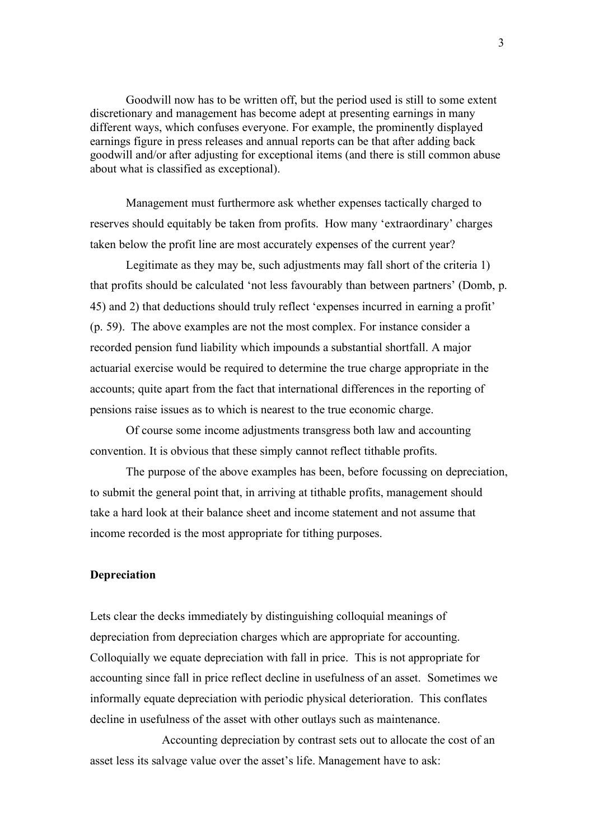Goodwill now has to be written off, but the period used is still to some extent discretionary and management has become adept at presenting earnings in many different ways, which confuses everyone. For example, the prominently displayed earnings figure in press releases and annual reports can be that after adding back goodwill and/or after adjusting for exceptional items (and there is still common abuse about what is classified as exceptional).

Management must furthermore ask whether expenses tactically charged to reserves should equitably be taken from profits. How many 'extraordinary' charges taken below the profit line are most accurately expenses of the current year?

Legitimate as they may be, such adjustments may fall short of the criteria 1) that profits should be calculated 'not less favourably than between partners' (Domb, p. 45) and 2) that deductions should truly reflect 'expenses incurred in earning a profit' (p. 59). The above examples are not the most complex. For instance consider a recorded pension fund liability which impounds a substantial shortfall. A major actuarial exercise would be required to determine the true charge appropriate in the accounts; quite apart from the fact that international differences in the reporting of pensions raise issues as to which is nearest to the true economic charge.

Of course some income adjustments transgress both law and accounting convention. It is obvious that these simply cannot reflect tithable profits.

The purpose of the above examples has been, before focussing on depreciation, to submit the general point that, in arriving at tithable profits, management should take a hard look at their balance sheet and income statement and not assume that income recorded is the most appropriate for tithing purposes.

# **Depreciation**

Lets clear the decks immediately by distinguishing colloquial meanings of depreciation from depreciation charges which are appropriate for accounting. Colloquially we equate depreciation with fall in price. This is not appropriate for accounting since fall in price reflect decline in usefulness of an asset. Sometimes we informally equate depreciation with periodic physical deterioration. This conflates decline in usefulness of the asset with other outlays such as maintenance.

Accounting depreciation by contrast sets out to allocate the cost of an asset less its salvage value over the asset's life. Management have to ask: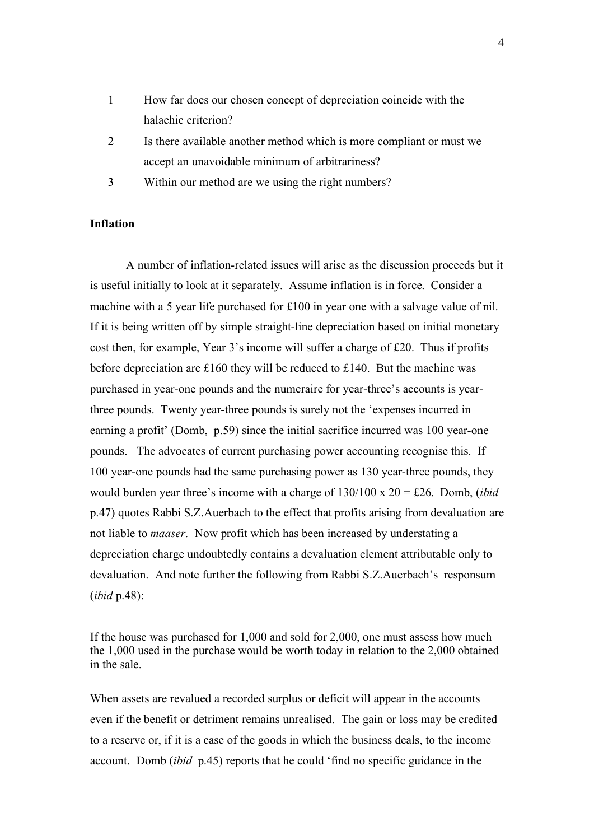- 1 How far does our chosen concept of depreciation coincide with the halachic criterion?
- 2 Is there available another method which is more compliant or must we accept an unavoidable minimum of arbitrariness?
- 3 Within our method are we using the right numbers?

# **Inflation**

A number of inflation-related issues will arise as the discussion proceeds but it is useful initially to look at it separately. Assume inflation is in force. Consider a machine with a 5 year life purchased for £100 in year one with a salvage value of nil. If it is being written off by simple straight-line depreciation based on initial monetary cost then, for example, Year 3's income will suffer a charge of £20. Thus if profits before depreciation are £160 they will be reduced to £140. But the machine was purchased in year-one pounds and the numeraire for year-three's accounts is yearthree pounds. Twenty year-three pounds is surely not the 'expenses incurred in earning a profit' (Domb, p.59) since the initial sacrifice incurred was 100 year-one pounds. The advocates of current purchasing power accounting recognise this. If 100 year-one pounds had the same purchasing power as 130 year-three pounds, they would burden year three's income with a charge of 130/100 x 20 = £26. Domb, (*ibid* p.47) quotes Rabbi S.Z.Auerbach to the effect that profits arising from devaluation are not liable to *maaser*. Now profit which has been increased by understating a depreciation charge undoubtedly contains a devaluation element attributable only to devaluation. And note further the following from Rabbi S.Z.Auerbach's responsum (*ibid* p.48):

If the house was purchased for 1,000 and sold for 2,000, one must assess how much the 1,000 used in the purchase would be worth today in relation to the 2,000 obtained in the sale.

When assets are revalued a recorded surplus or deficit will appear in the accounts even if the benefit or detriment remains unrealised. The gain or loss may be credited to a reserve or, if it is a case of the goods in which the business deals, to the income account. Domb (*ibid* p.45) reports that he could 'find no specific guidance in the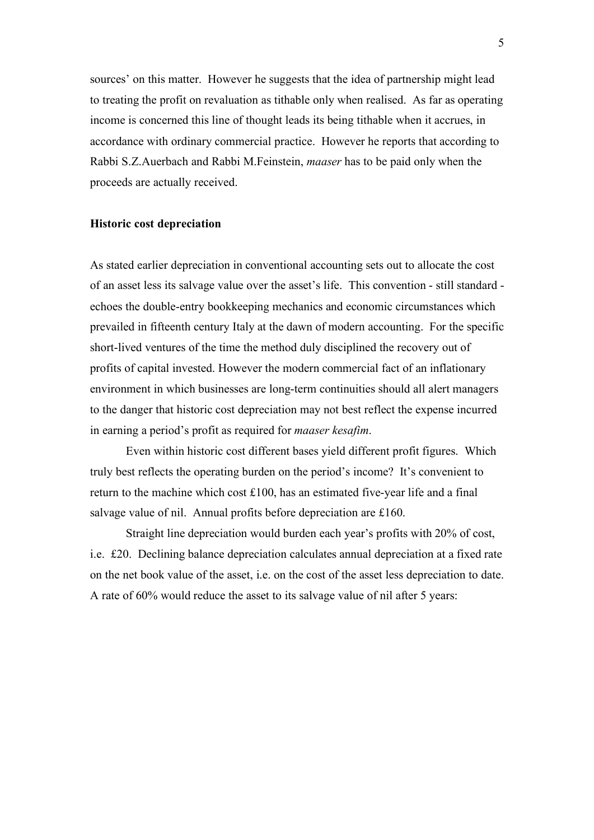sources' on this matter. However he suggests that the idea of partnership might lead to treating the profit on revaluation as tithable only when realised. As far as operating income is concerned this line of thought leads its being tithable when it accrues, in accordance with ordinary commercial practice. However he reports that according to Rabbi S.Z.Auerbach and Rabbi M.Feinstein, *maaser* has to be paid only when the proceeds are actually received.

#### **Historic cost depreciation**

As stated earlier depreciation in conventional accounting sets out to allocate the cost of an asset less its salvage value over the asset's life. This convention - still standard echoes the double-entry bookkeeping mechanics and economic circumstances which prevailed in fifteenth century Italy at the dawn of modern accounting. For the specific short-lived ventures of the time the method duly disciplined the recovery out of profits of capital invested. However the modern commercial fact of an inflationary environment in which businesses are long-term continuities should all alert managers to the danger that historic cost depreciation may not best reflect the expense incurred in earning a period's profit as required for *maaser kesafim*.

Even within historic cost different bases yield different profit figures. Which truly best reflects the operating burden on the period's income? It's convenient to return to the machine which cost £100, has an estimated five-year life and a final salvage value of nil. Annual profits before depreciation are £160.

Straight line depreciation would burden each year's profits with 20% of cost, i.e. £20. Declining balance depreciation calculates annual depreciation at a fixed rate on the net book value of the asset, i.e. on the cost of the asset less depreciation to date. A rate of 60% would reduce the asset to its salvage value of nil after 5 years: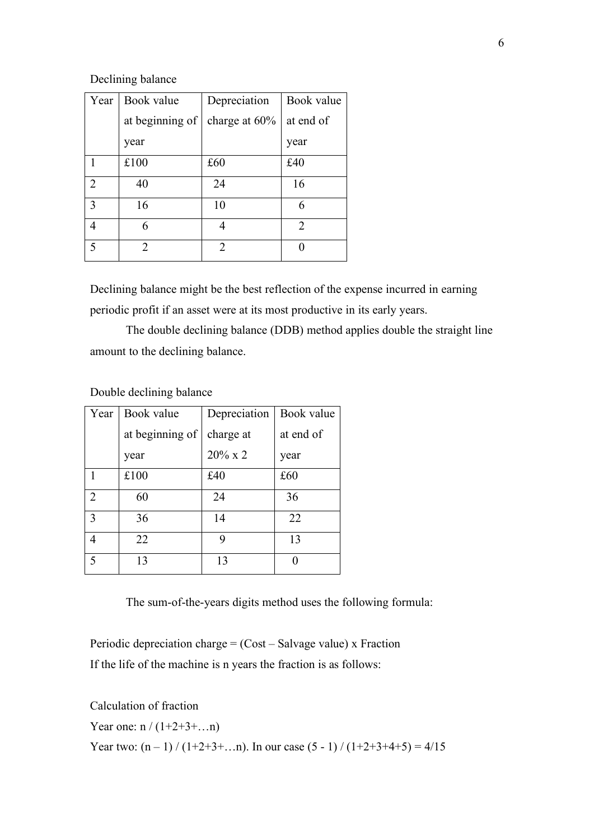### Declining balance

| Year           | Book value      | Depreciation   | Book value     |
|----------------|-----------------|----------------|----------------|
|                | at beginning of | charge at 60%  | at end of      |
|                | year            |                | year           |
|                | £100            | £60            | £40            |
| $\overline{2}$ | 40              | 24             | 16             |
| 3              | 16              | 10             | 6              |
| 4              | 6               | 4              | $\overline{2}$ |
| 5              | 2               | $\mathfrak{D}$ |                |

Declining balance might be the best reflection of the expense incurred in earning periodic profit if an asset were at its most productive in its early years.

The double declining balance (DDB) method applies double the straight line amount to the declining balance.

| Year             | Book value      | Depreciation | Book value |
|------------------|-----------------|--------------|------------|
|                  | at beginning of | charge at    | at end of  |
|                  | year            | $20\%$ x 2   | year       |
|                  | £100            | £40          | £60        |
| $\sum_{i=1}^{n}$ | 60              | 24           | 36         |
| 3                | 36              | 14           | 22         |
| 4                | 22              | 9            | 13         |
| 5                | 13              | 13           |            |

Double declining balance

The sum-of-the-years digits method uses the following formula:

Periodic depreciation charge = (Cost – Salvage value) x Fraction If the life of the machine is n years the fraction is as follows:

Calculation of fraction

Year one:  $n / (1+2+3+\ldots n)$ 

Year two:  $(n-1) / (1+2+3+\ldots n)$ . In our case  $(5 - 1) / (1+2+3+4+5) = 4/15$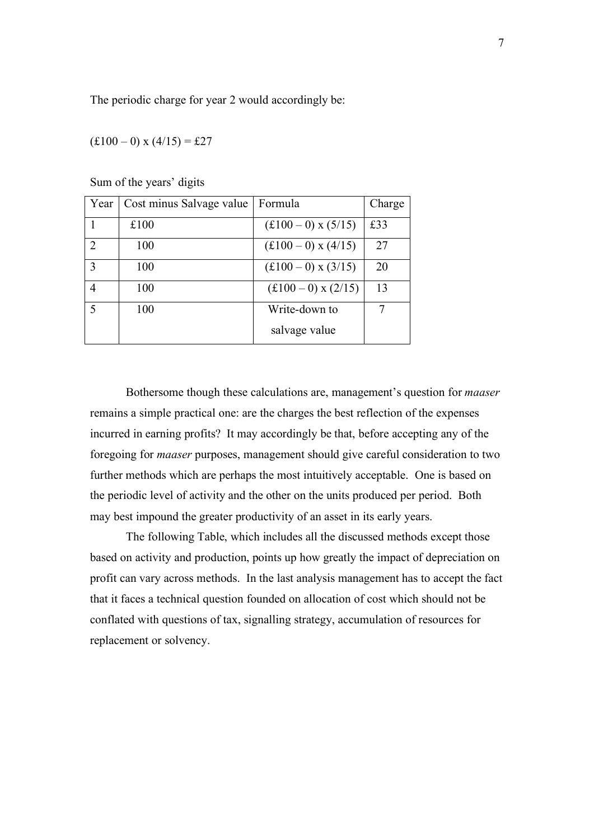The periodic charge for year 2 would accordingly be:

 $(f100 - 0)$  x  $(4/15) = f27$ 

| Year             | Cost minus Salvage value | Formula                     | Charge |
|------------------|--------------------------|-----------------------------|--------|
|                  | £100                     | $(f100-0)$ x $(5/15)$       | £33    |
| $\sum_{i=1}^{n}$ | 100                      | $(f100-0)$ x $(4/15)$       | 27     |
| 3                | 100                      | $(f100-0)$ x $(3/15)$       | 20     |
| 4                | 100                      | $(\pounds100-0)$ x $(2/15)$ | 13     |
| 5                | 100                      | Write-down to               |        |
|                  |                          | salvage value               |        |

Sum of the years' digits

Bothersome though these calculations are, management's question for *maaser*  remains a simple practical one: are the charges the best reflection of the expenses incurred in earning profits? It may accordingly be that, before accepting any of the foregoing for *maaser* purposes, management should give careful consideration to two further methods which are perhaps the most intuitively acceptable. One is based on the periodic level of activity and the other on the units produced per period. Both may best impound the greater productivity of an asset in its early years.

The following Table, which includes all the discussed methods except those based on activity and production, points up how greatly the impact of depreciation on profit can vary across methods. In the last analysis management has to accept the fact that it faces a technical question founded on allocation of cost which should not be conflated with questions of tax, signalling strategy, accumulation of resources for replacement or solvency.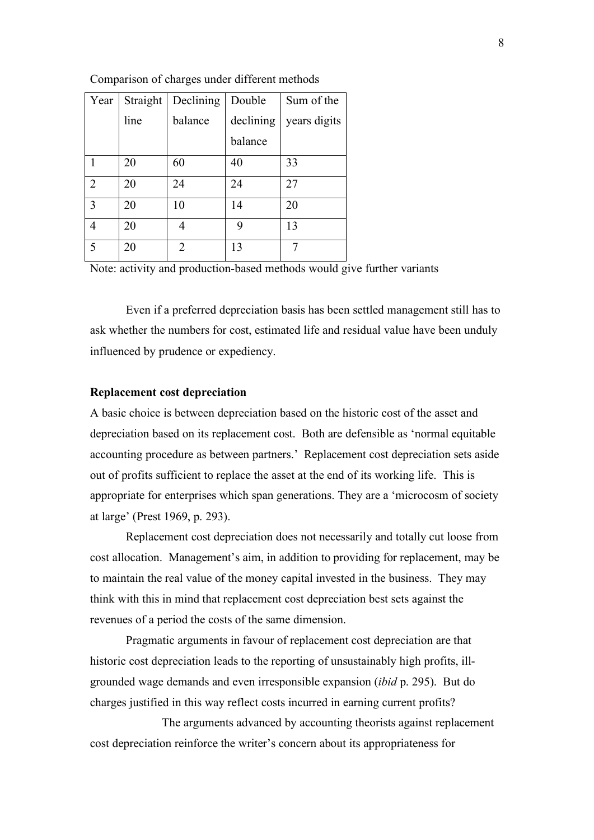| Year           | Straight | Declining      | Double    | Sum of the   |
|----------------|----------|----------------|-----------|--------------|
|                | line     | balance        | declining | years digits |
|                |          |                | balance   |              |
|                | 20       | 60             | 40        | 33           |
| $\overline{2}$ | 20       | 24             | 24        | 27           |
| 3              | 20       | 10             | 14        | 20           |
| 4              | 20       | 4              | 9         | 13           |
| 5              | 20       | $\mathfrak{D}$ | 13        |              |

Comparison of charges under different methods

Note: activity and production-based methods would give further variants

Even if a preferred depreciation basis has been settled management still has to ask whether the numbers for cost, estimated life and residual value have been unduly influenced by prudence or expediency.

#### **Replacement cost depreciation**

A basic choice is between depreciation based on the historic cost of the asset and depreciation based on its replacement cost. Both are defensible as 'normal equitable accounting procedure as between partners.' Replacement cost depreciation sets aside out of profits sufficient to replace the asset at the end of its working life. This is appropriate for enterprises which span generations. They are a 'microcosm of society at large' (Prest 1969, p. 293).

Replacement cost depreciation does not necessarily and totally cut loose from cost allocation. Management's aim, in addition to providing for replacement, may be to maintain the real value of the money capital invested in the business. They may think with this in mind that replacement cost depreciation best sets against the revenues of a period the costs of the same dimension.

Pragmatic arguments in favour of replacement cost depreciation are that historic cost depreciation leads to the reporting of unsustainably high profits, illgrounded wage demands and even irresponsible expansion (*ibid* p. 295). But do charges justified in this way reflect costs incurred in earning current profits?

The arguments advanced by accounting theorists against replacement cost depreciation reinforce the writer's concern about its appropriateness for